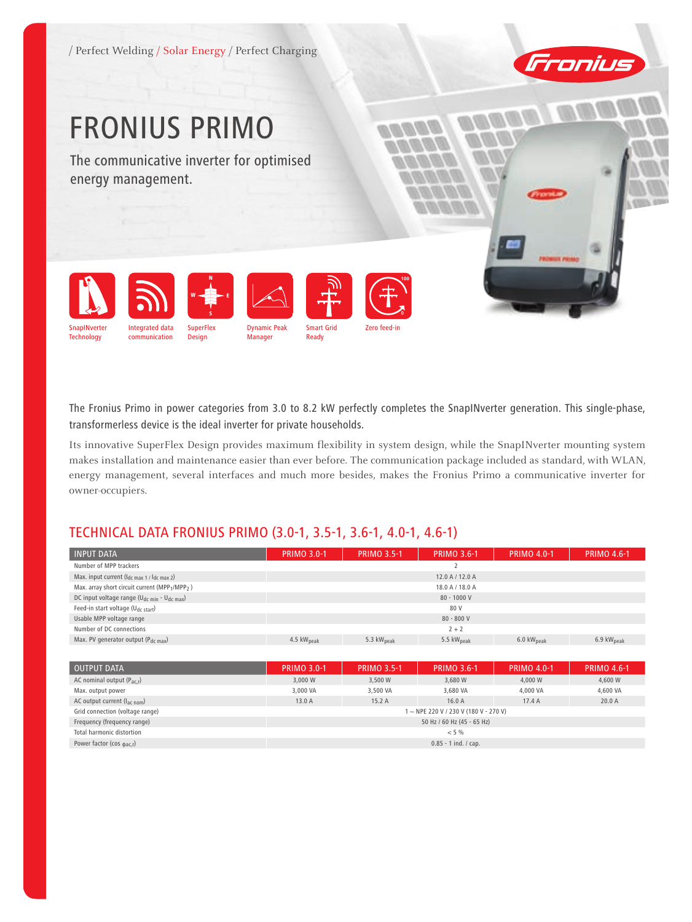/ Perfect Welding / Solar Energy / Perfect Charging



# FRONIUS Primo

The communicative inverter for optimised energy management.



The Fronius Primo in power categories from 3.0 to 8.2 kW perfectly completes the SnapINverter generation. This single-phase, transformerless device is the ideal inverter for private households.

Its innovative SuperFlex Design provides maximum flexibility in system design, while the SnapINverter mounting system makes installation and maintenance easier than ever before. The communication package included as standard, with WLAN, energy management, several interfaces and much more besides, makes the Fronius Primo a communicative inverter for owner-occupiers.

# TECHNICAL DATA FRONIUS PRIMO (3.0-1, 3.5-1, 3.6-1, 4.0-1, 4.6-1)

| <b>INPUT DATA</b>                                                   | <b>PRIMO 3.0-1</b>     | <b>PRIMO 3.5-1</b>     | PRIMO 3.6-1            | <b>PRIMO 4.0-1</b>             | <b>PRIMO 4.6-1</b>     |
|---------------------------------------------------------------------|------------------------|------------------------|------------------------|--------------------------------|------------------------|
| Number of MPP trackers                                              |                        |                        |                        |                                |                        |
| Max. input current $(l_{dc \, max\ 1 / l_{dc \, max\ 2}})$          |                        |                        | 12.0 A / 12.0 A        |                                |                        |
| Max. array short circuit current (MPP1/MPP2)                        |                        |                        | 18.0 A / 18.0 A        |                                |                        |
| DC input voltage range (U <sub>dc min</sub> - U <sub>dc max</sub> ) |                        |                        | $80 - 1000V$           |                                |                        |
| Feed-in start voltage (U <sub>dc start</sub> )                      |                        |                        | 80 V                   |                                |                        |
| Usable MPP voltage range                                            |                        |                        | $80 - 800 V$           |                                |                        |
| Number of DC connections                                            | $2 + 2$                |                        |                        |                                |                        |
| Max. PV generator output (Pdc max)                                  | 4.5 kW <sub>peak</sub> | 5.3 kW <sub>peak</sub> | 5.5 kW <sub>peak</sub> | $6.0 \text{ kW}_{\text{peak}}$ | 6.9 kW <sub>peak</sub> |
|                                                                     |                        |                        |                        |                                |                        |

| OUTPUT DATA                           | <b>PRIMO 3.0-1</b>                    | <b>PRIMO 3.5-1</b> | <b>PRIMO 3.6-1</b> | <b>PRIMO 4.0-1</b> | <b>PRIMO 4.6-1</b> |  |
|---------------------------------------|---------------------------------------|--------------------|--------------------|--------------------|--------------------|--|
| AC nominal output $(P_{\text{ac}})$   | 3,000 W                               | 3,500 W            | 3.680 W            | 4.000 W            | 4,600 W            |  |
| Max. output power                     | 3,000 VA                              | 3.500 VA           | 3.680 VA           | 4.000 VA           | 4,600 VA           |  |
| AC output current ( $I_{ac\; nom}$ )  | 13.0A                                 | 15.2A              | 16.0A              | 17.4A              | 20.0A              |  |
| Grid connection (voltage range)       | 1 ~ NPE 220 V / 230 V (180 V - 270 V) |                    |                    |                    |                    |  |
| Frequency (frequency range)           | 50 Hz / 60 Hz (45 - 65 Hz)            |                    |                    |                    |                    |  |
| Total harmonic distortion             | $< 5\%$                               |                    |                    |                    |                    |  |
| Power factor (cos $_{\text{dac,r}}$ ) | $0.85 - 1$ ind. / cap.                |                    |                    |                    |                    |  |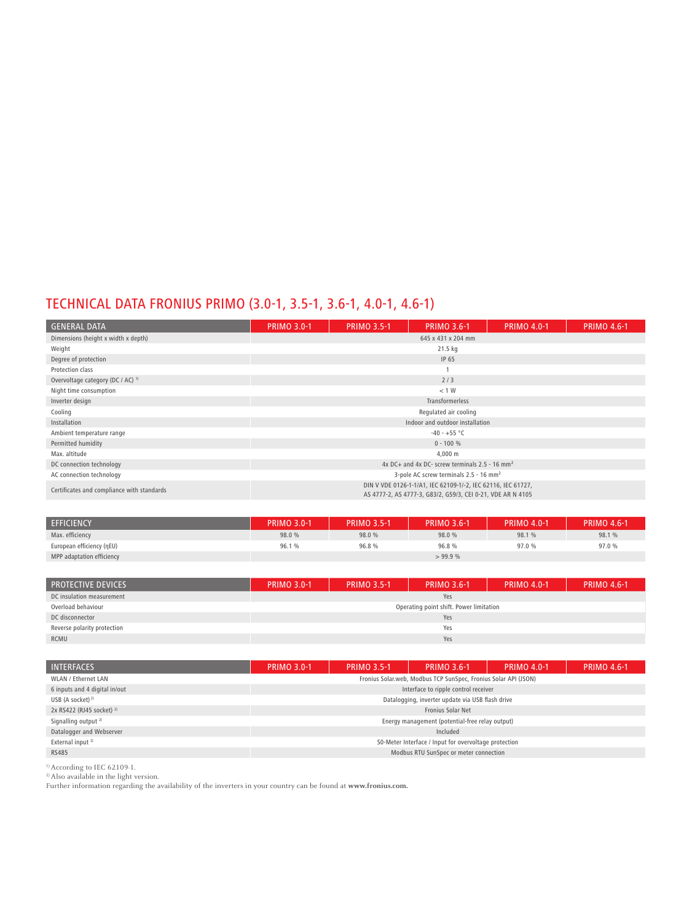# TECHNICAL DATA FRONIUS PRIMO (3.0-1, 3.5-1, 3.6-1, 4.0-1, 4.6-1)

| <b>GENERAL DATA</b>                          | <b>PRIMO 3.0-1</b>                                                                                                          | <b>PRIMO 3.5-1</b> | <b>PRIMO 3.6-1</b>              | <b>PRIMO 4.0-1</b> | <b>PRIMO 4.6-1</b> |  |  |
|----------------------------------------------|-----------------------------------------------------------------------------------------------------------------------------|--------------------|---------------------------------|--------------------|--------------------|--|--|
| Dimensions (height x width x depth)          | 645 x 431 x 204 mm                                                                                                          |                    |                                 |                    |                    |  |  |
| Weight                                       |                                                                                                                             |                    | 21.5 kg                         |                    |                    |  |  |
| Degree of protection                         |                                                                                                                             |                    | IP 65                           |                    |                    |  |  |
| Protection class                             |                                                                                                                             |                    |                                 |                    |                    |  |  |
| Overvoltage category (DC / AC) <sup>1)</sup> |                                                                                                                             |                    | 2/3                             |                    |                    |  |  |
| Night time consumption                       |                                                                                                                             |                    | < 1 W                           |                    |                    |  |  |
| Inverter design                              |                                                                                                                             |                    | Transformerless                 |                    |                    |  |  |
| Cooling                                      |                                                                                                                             |                    | Regulated air cooling           |                    |                    |  |  |
| Installation                                 |                                                                                                                             |                    | Indoor and outdoor installation |                    |                    |  |  |
| Ambient temperature range                    |                                                                                                                             |                    | $-40 - +55$ °C                  |                    |                    |  |  |
| Permitted humidity                           |                                                                                                                             |                    | $0 - 100 %$                     |                    |                    |  |  |
| Max. altitude                                |                                                                                                                             |                    | 4,000 m                         |                    |                    |  |  |
| DC connection technology                     | 4x DC+ and 4x DC- screw terminals $2.5 - 16$ mm <sup>2</sup>                                                                |                    |                                 |                    |                    |  |  |
| AC connection technology                     | 3-pole AC screw terminals 2.5 - 16 mm <sup>2</sup>                                                                          |                    |                                 |                    |                    |  |  |
| Certificates and compliance with standards   | DIN V VDE 0126-1-1/A1, IEC 62109-1/-2, IEC 62116, IEC 61727,<br>AS 4777-2, AS 4777-3, G83/2, G59/3, CEI 0-21, VDE AR N 4105 |                    |                                 |                    |                    |  |  |

| <b>EFFICIENCY</b>         | <b>PRIMO 3.0-1</b> | <b>PRIMO 3.5-1</b> | <b>PRIMO 3.6-1</b> | <b>PRIMO 4.0-1</b> | <b>PRIMO 4.6-1</b> |
|---------------------------|--------------------|--------------------|--------------------|--------------------|--------------------|
| Max. efficiency           | 98.0 %             | 98.0 %             | 98.0 %             | 98.1 %             | 98.1 %             |
| European efficiency (ηEU) | 96.1%              | 96.8%              | 96.8%              | 97.0 %             | 97.0 %             |
| MPP adaptation efficiency |                    |                    | > 99.9%            |                    |                    |

| <b>PROTECTIVE DEVICES</b>   | <b>PRIMO 3.0-1</b> | <b>PRIMO 3.5-1</b> | <b>PRIMO 3.6-1</b>                      | <b>PRIMO 4.0-1</b> | <b>PRIMO 4.6-1</b> |  |  |
|-----------------------------|--------------------|--------------------|-----------------------------------------|--------------------|--------------------|--|--|
| DC insulation measurement   | Yes                |                    |                                         |                    |                    |  |  |
| Overload behaviour          |                    |                    | Operating point shift. Power limitation |                    |                    |  |  |
| DC disconnector             | Yes                |                    |                                         |                    |                    |  |  |
| Reverse polarity protection | Yes                |                    |                                         |                    |                    |  |  |
| RCMU                        | Yes                |                    |                                         |                    |                    |  |  |

| <b>INTERFACES</b>                    | <b>PRIMO 3.0-1</b>                                    | <b>PRIMO 3.5-1</b> | <b>PRIMO 3.6-1</b>                                              | <b>PRIMO 4.0-1</b> | <b>PRIMO 4.6-1</b> |  |
|--------------------------------------|-------------------------------------------------------|--------------------|-----------------------------------------------------------------|--------------------|--------------------|--|
| <b>WLAN / Ethernet LAN</b>           |                                                       |                    | Fronius Solar.web, Modbus TCP SunSpec, Fronius Solar API (JSON) |                    |                    |  |
| 6 inputs and 4 digital in/out        |                                                       |                    | Interface to ripple control receiver                            |                    |                    |  |
| USB (A socket) <sup>2)</sup>         |                                                       |                    | Datalogging, inverter update via USB flash drive                |                    |                    |  |
| 2x RS422 (RJ45 socket) <sup>2)</sup> |                                                       |                    | Fronius Solar Net                                               |                    |                    |  |
| Signalling output <sup>2)</sup>      |                                                       |                    | Energy management (potential-free relay output)                 |                    |                    |  |
| Datalogger and Webserver             |                                                       |                    | Included                                                        |                    |                    |  |
| External input <sup>2)</sup>         | S0-Meter Interface / Input for overvoltage protection |                    |                                                                 |                    |                    |  |
| <b>RS485</b>                         | Modbus RTU SunSpec or meter connection                |                    |                                                                 |                    |                    |  |
|                                      |                                                       |                    |                                                                 |                    |                    |  |

1) According to IEC 62109-1.

2) Also available in the light version.

Further information regarding the availability of the inverters in your country can be found at **www.fronius.com.**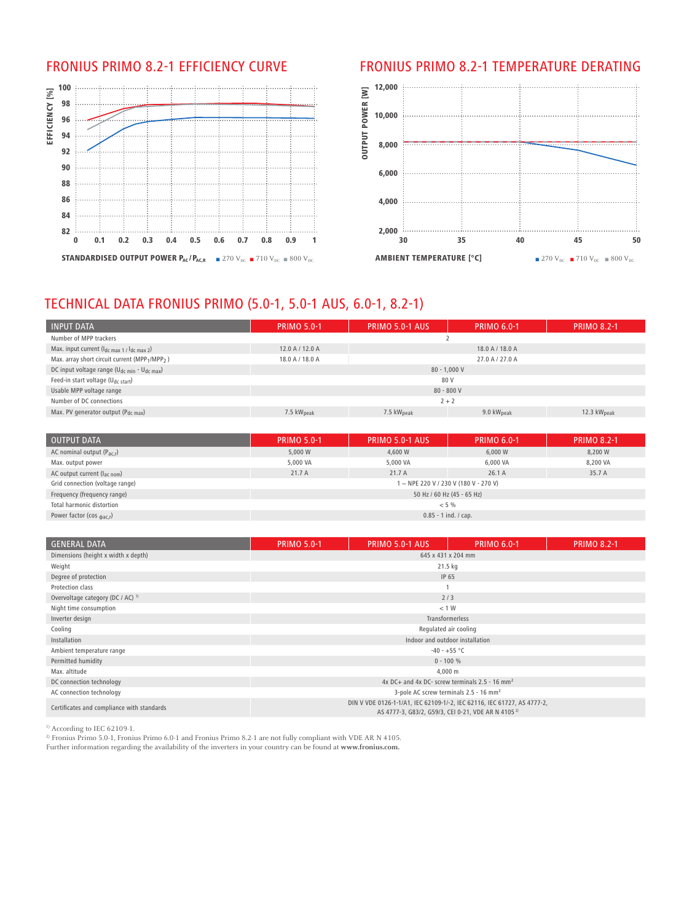

## FRONIUS Primo 8.2-1 Efficiency curve FRONIUS Primo 8.2-1 Temperature derating



# TECHNICAL DATA FRONIUS PRIMO (5.0-1, 5.0-1 AUS, 6.0-1, 8.2-1)

| <b>INPUT DATA</b>                                                      | <b>PRIMO 5.0-1</b> | <b>PRIMO 5.0-1 AUS</b> | <b>PRIMO 6.0-1</b>     | <b>PRIMO 8.2-1</b> |  |  |  |
|------------------------------------------------------------------------|--------------------|------------------------|------------------------|--------------------|--|--|--|
| Number of MPP trackers                                                 |                    |                        |                        |                    |  |  |  |
| Max. input current $(l_{\text{dc max 1}}/l_{\text{dc max 2}})$         | 12.0 A / 12.0 A    |                        | 18.0 A / 18.0 A        |                    |  |  |  |
| Max. array short circuit current (MPP <sub>1</sub> /MPP <sub>2</sub> ) | 18.0 A / 18.0 A    |                        | 27.0 A / 27.0 A        |                    |  |  |  |
| DC input voltage range (U <sub>dc min</sub> - U <sub>dc max</sub> )    |                    | $80 - 1.000 V$         |                        |                    |  |  |  |
| Feed-in start voltage (U <sub>dc start</sub> )                         |                    | 80 V                   |                        |                    |  |  |  |
| Usable MPP voltage range                                               | $80 - 800 V$       |                        |                        |                    |  |  |  |
| Number of DC connections                                               | $2 + 2$            |                        |                        |                    |  |  |  |
| Max. PV generator output ( $P_{dc,max}$ )                              | 7.5 $kWpeak$       | 7.5 $kWpeak$           | 9.0 $kW_{\text{peak}}$ | 12.3 $kWpeak$      |  |  |  |

| <b>OUTPUT DATA</b>                      | <b>PRIMO 5.0-1</b>         | <b>PRIMO 5.0-1 AUS</b> | <b>PRIMO 6.0-1</b>                  | <b>PRIMO 8.2-1</b> |  |  |
|-----------------------------------------|----------------------------|------------------------|-------------------------------------|--------------------|--|--|
| AC nominal output $(P_{\text{ac}})$     | 5,000 W                    | 4,600 W                | 6,000 W                             | 8,200 W            |  |  |
| Max. output power                       | 5,000 VA                   | 5,000 VA               | 6,000 VA                            | 8,200 VA           |  |  |
| AC output current $(l_{\text{ac nom}})$ | 21.7A                      | 21.7 A                 | 26.1A                               | 35.7 A             |  |  |
| Grid connection (voltage range)         |                            |                        | 1~NPE 220 V / 230 V (180 V - 270 V) |                    |  |  |
| Frequency (frequency range)             | 50 Hz / 60 Hz (45 - 65 Hz) |                        |                                     |                    |  |  |
| Total harmonic distortion               | $< 5\%$                    |                        |                                     |                    |  |  |
| Power factor (cos $_{\text{bac,r}}$ )   | $0.85 - 1$ ind. / cap.     |                        |                                     |                    |  |  |

| <b>GENERAL DATA</b>                          | <b>PRIMO 5.0-1</b>                                                                                                                        | PRIMO 5.0-1 AUS                 | <b>PRIMO 6.0-1</b> | <b>PRIMO 8.2-1</b> |  |  |  |  |
|----------------------------------------------|-------------------------------------------------------------------------------------------------------------------------------------------|---------------------------------|--------------------|--------------------|--|--|--|--|
| Dimensions (height x width x depth)          | 645 x 431 x 204 mm                                                                                                                        |                                 |                    |                    |  |  |  |  |
| Weight                                       | 21.5 kg                                                                                                                                   |                                 |                    |                    |  |  |  |  |
| Degree of protection                         |                                                                                                                                           | IP 65                           |                    |                    |  |  |  |  |
| Protection class                             |                                                                                                                                           |                                 |                    |                    |  |  |  |  |
| Overvoltage category (DC / AC) <sup>1)</sup> |                                                                                                                                           | 2/3                             |                    |                    |  |  |  |  |
| Night time consumption                       |                                                                                                                                           | < 1 W                           |                    |                    |  |  |  |  |
| Inverter design                              |                                                                                                                                           | <b>Transformerless</b>          |                    |                    |  |  |  |  |
| Cooling                                      |                                                                                                                                           | Regulated air cooling           |                    |                    |  |  |  |  |
| Installation                                 |                                                                                                                                           | Indoor and outdoor installation |                    |                    |  |  |  |  |
| Ambient temperature range                    |                                                                                                                                           | $-40 - +55$ °C                  |                    |                    |  |  |  |  |
| Permitted humidity                           |                                                                                                                                           | $0 - 100 %$                     |                    |                    |  |  |  |  |
| Max. altitude                                |                                                                                                                                           | 4,000 m                         |                    |                    |  |  |  |  |
| DC connection technology                     | 4x DC+ and 4x DC- screw terminals $2.5 - 16$ mm <sup>2</sup>                                                                              |                                 |                    |                    |  |  |  |  |
| AC connection technology                     | 3-pole AC screw terminals 2.5 - 16 mm <sup>2</sup>                                                                                        |                                 |                    |                    |  |  |  |  |
| Certificates and compliance with standards   | DIN V VDE 0126-1-1/A1, IEC 62109-1/-2, IEC 62116, IEC 61727, AS 4777-2,<br>AS 4777-3, G83/2, G59/3, CEI 0-21, VDE AR N 4105 <sup>2)</sup> |                                 |                    |                    |  |  |  |  |

<sup>1)</sup> According to IEC 62109-1.

<sup>2)</sup> Fronius Primo 5.0-1, Fronius Primo 6.0-1 and Fronius Primo 8.2-1 are not fully compliant with VDE AR N 4105.

Further information regarding the availability of the inverters in your country can be found at **www.fronius.com.**